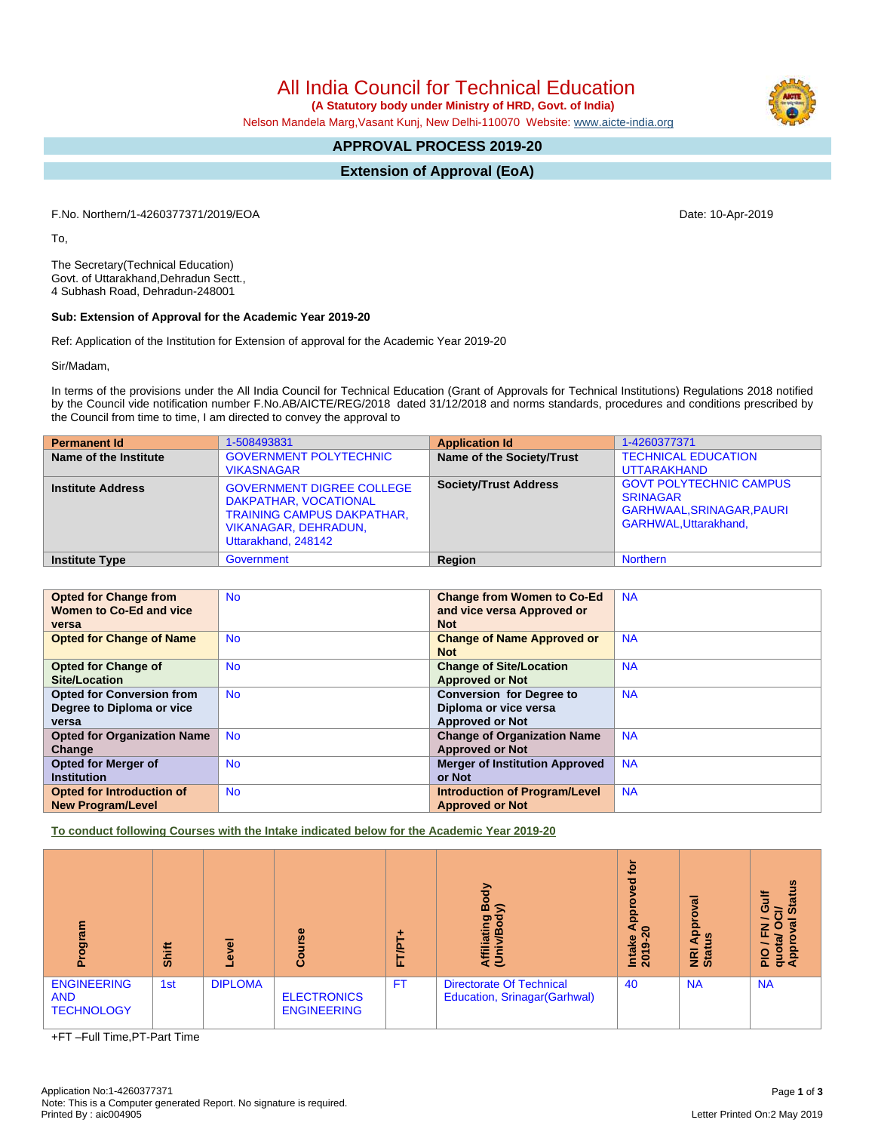All India Council for Technical Education

 **(A Statutory body under Ministry of HRD, Govt. of India)**

Nelson Mandela Marg,Vasant Kunj, New Delhi-110070 Website: [www.aicte-india.org](http://www.aicte-india.org)

# **APPROVAL PROCESS 2019-20**

**Extension of Approval (EoA)**

F.No. Northern/1-4260377371/2019/EOA Date: 10-Apr-2019

To,

The Secretary(Technical Education) Govt. of Uttarakhand,Dehradun Sectt., 4 Subhash Road, Dehradun-248001

#### **Sub: Extension of Approval for the Academic Year 2019-20**

Ref: Application of the Institution for Extension of approval for the Academic Year 2019-20

Sir/Madam,

In terms of the provisions under the All India Council for Technical Education (Grant of Approvals for Technical Institutions) Regulations 2018 notified by the Council vide notification number F.No.AB/AICTE/REG/2018 dated 31/12/2018 and norms standards, procedures and conditions prescribed by the Council from time to time, I am directed to convey the approval to

| <b>Permanent Id</b>      | 1-508493831                                                                                                                                          | <b>Application Id</b>        | 1-4260377371                                                                                                         |
|--------------------------|------------------------------------------------------------------------------------------------------------------------------------------------------|------------------------------|----------------------------------------------------------------------------------------------------------------------|
| Name of the Institute    | <b>GOVERNMENT POLYTECHNIC</b><br><b>VIKASNAGAR</b>                                                                                                   | Name of the Society/Trust    | <b>TECHNICAL EDUCATION</b><br><b>UTTARAKHAND</b>                                                                     |
| <b>Institute Address</b> | <b>GOVERNMENT DIGREE COLLEGE</b><br>DAKPATHAR, VOCATIONAL<br><b>TRAINING CAMPUS DAKPATHAR,</b><br><b>VIKANAGAR, DEHRADUN.</b><br>Uttarakhand, 248142 | <b>Society/Trust Address</b> | <b>GOVT POLYTECHNIC CAMPUS</b><br><b>SRINAGAR</b><br><b>GARHWAAL, SRINAGAR, PAURI</b><br><b>GARHWAL.Uttarakhand.</b> |
| <b>Institute Type</b>    | Government                                                                                                                                           | Region                       | <b>Northern</b>                                                                                                      |

| <b>Opted for Change from</b>       | <b>No</b> | <b>Change from Women to Co-Ed</b>     | <b>NA</b> |
|------------------------------------|-----------|---------------------------------------|-----------|
| Women to Co-Ed and vice            |           | and vice versa Approved or            |           |
| versa                              |           | <b>Not</b>                            |           |
| <b>Opted for Change of Name</b>    | <b>No</b> | <b>Change of Name Approved or</b>     | <b>NA</b> |
|                                    |           | <b>Not</b>                            |           |
| <b>Opted for Change of</b>         | <b>No</b> | <b>Change of Site/Location</b>        | <b>NA</b> |
| <b>Site/Location</b>               |           | <b>Approved or Not</b>                |           |
| <b>Opted for Conversion from</b>   | <b>No</b> | <b>Conversion for Degree to</b>       | <b>NA</b> |
| Degree to Diploma or vice          |           | Diploma or vice versa                 |           |
| versa                              |           | <b>Approved or Not</b>                |           |
| <b>Opted for Organization Name</b> | <b>No</b> | <b>Change of Organization Name</b>    | <b>NA</b> |
| Change                             |           | <b>Approved or Not</b>                |           |
| <b>Opted for Merger of</b>         | <b>No</b> | <b>Merger of Institution Approved</b> | <b>NA</b> |
| <b>Institution</b>                 |           | or Not                                |           |
| <b>Opted for Introduction of</b>   | <b>No</b> | <b>Introduction of Program/Level</b>  | <b>NA</b> |
| <b>New Program/Level</b>           |           | <b>Approved or Not</b>                |           |

**To conduct following Courses with the Intake indicated below for the Academic Year 2019-20**

| mang<br>o.                                            | Shift | <u>ಕ</u><br>$\ddot{\mathbf{v}}$ | rse<br>cەت                               | <b>FT/P</b> | る<br>ᅃ<br>o.<br>liatin<br>ന്<br>ξĒ                              | <b>jo</b><br>್ಥಾ<br>۰<br>Appi<br>$\epsilon$<br>Intake<br>2019-2 | ख़<br>Ö<br><u>a</u> qA<br><b>SO</b><br><b>Biat</b> | <b>Status</b><br>O<br>₩<br>w<br>z<br>O<br>₫<br>quot<br>App<br>$rac{O}{R}$ |
|-------------------------------------------------------|-------|---------------------------------|------------------------------------------|-------------|-----------------------------------------------------------------|-----------------------------------------------------------------|----------------------------------------------------|---------------------------------------------------------------------------|
| <b>ENGINEERING</b><br><b>AND</b><br><b>TECHNOLOGY</b> | 1st   | <b>DIPLOMA</b>                  | <b>ELECTRONICS</b><br><b>ENGINEERING</b> | <b>FT</b>   | <b>Directorate Of Technical</b><br>Education, Srinagar(Garhwal) | 40                                                              | <b>NA</b>                                          | <b>NA</b>                                                                 |

+FT –Full Time,PT-Part Time

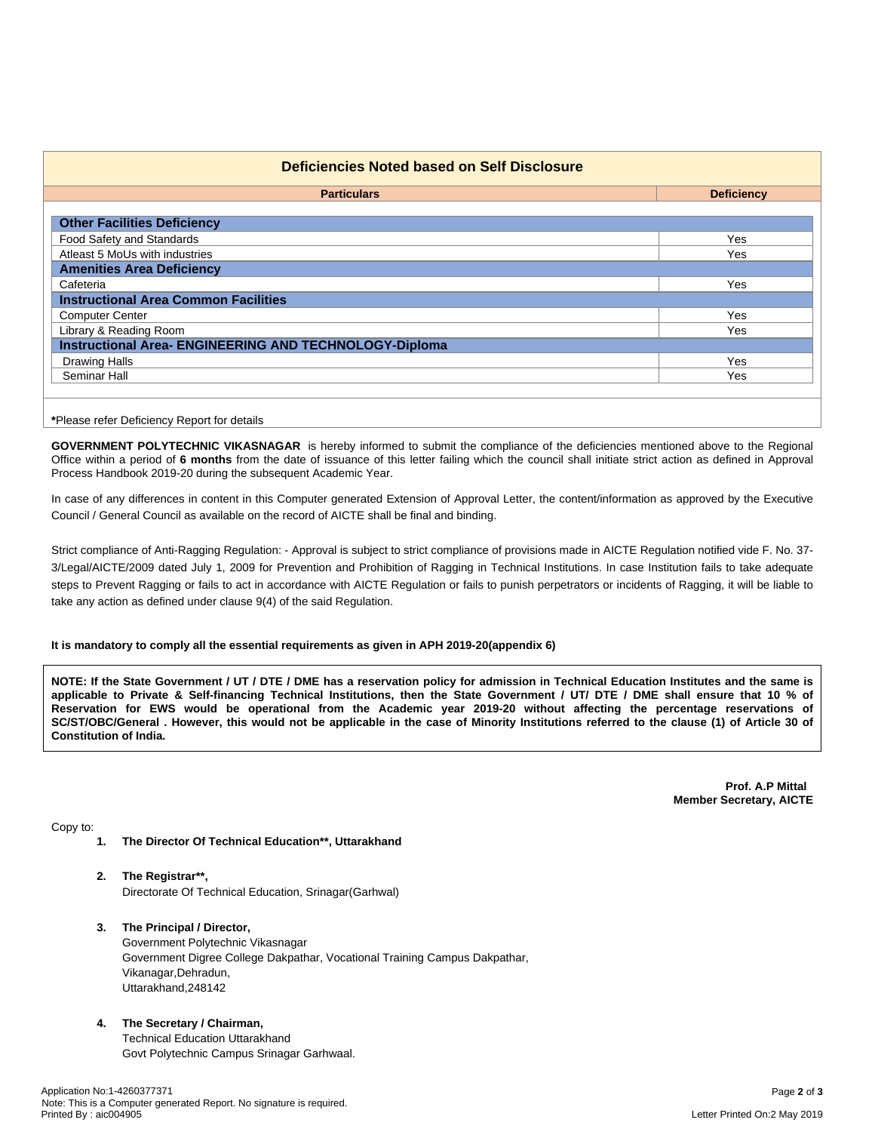| <b>Particulars</b>                                            | <b>Deficiency</b> |
|---------------------------------------------------------------|-------------------|
| <b>Other Facilities Deficiency</b>                            |                   |
| Food Safety and Standards                                     | Yes               |
| Atleast 5 MoUs with industries                                | Yes               |
| <b>Amenities Area Deficiency</b>                              |                   |
| Cafeteria                                                     | Yes               |
| <b>Instructional Area Common Facilities</b>                   |                   |
| <b>Computer Center</b>                                        | Yes               |
| Library & Reading Room                                        | <b>Yes</b>        |
| <b>Instructional Area- ENGINEERING AND TECHNOLOGY-Diploma</b> |                   |
| <b>Drawing Halls</b>                                          | Yes               |
| Seminar Hall                                                  | Yes               |

**GOVERNMENT POLYTECHNIC VIKASNAGAR** is hereby informed to submit the compliance of the deficiencies mentioned above to the Regional Office within a period of **6 months** from the date of issuance of this letter failing which the council shall initiate strict action as defined in Approval Process Handbook 2019-20 during the subsequent Academic Year.

In case of any differences in content in this Computer generated Extension of Approval Letter, the content/information as approved by the Executive Council / General Council as available on the record of AICTE shall be final and binding.

Strict compliance of Anti-Ragging Regulation: - Approval is subject to strict compliance of provisions made in AICTE Regulation notified vide F. No. 37- 3/Legal/AICTE/2009 dated July 1, 2009 for Prevention and Prohibition of Ragging in Technical Institutions. In case Institution fails to take adequate steps to Prevent Ragging or fails to act in accordance with AICTE Regulation or fails to punish perpetrators or incidents of Ragging, it will be liable to take any action as defined under clause 9(4) of the said Regulation.

### **It is mandatory to comply all the essential requirements as given in APH 2019-20(appendix 6)**

NOTE: If the State Government / UT / DTE / DME has a reservation policy for admission in Technical Education Institutes and the same is applicable to Private & Self-financing Technical Institutions, then the State Government / UT/ DTE / DME shall ensure that 10 % of Reservation for EWS would be operational from the Academic year 2019-20 without affecting the percentage reservations of SC/ST/OBC/General . However, this would not be applicable in the case of Minority Institutions referred to the clause (1) of Article 30 of **Constitution of India.**

> **Prof. A.P Mittal Member Secretary, AICTE**

Copy to:

- **1. The Director Of Technical Education\*\*, Uttarakhand**
- **2. The Registrar\*\*,** Directorate Of Technical Education, Srinagar(Garhwal)
- **3. The Principal / Director,** Government Polytechnic Vikasnagar Government Digree College Dakpathar, Vocational Training Campus Dakpathar, Vikanagar,Dehradun, Uttarakhand,248142
- **4. The Secretary / Chairman,** Technical Education Uttarakhand Govt Polytechnic Campus Srinagar Garhwaal.